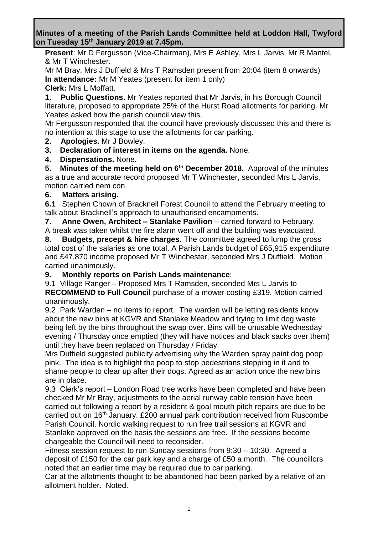**Minutes of a meeting of the Parish Lands Committee held at Loddon Hall, Twyford on Tuesday 15th January 2019 at 7.45pm.**

**Present**: Mr D Fergusson (Vice-Chairman), Mrs E Ashley, Mrs L Jarvis, Mr R Mantel, & Mr T Winchester.

Mr M Bray, Mrs J Duffield & Mrs T Ramsden present from 20:04 (item 8 onwards) **In attendance:** Mr M Yeates (present for item 1 only)

**Clerk:** Mrs L Moffatt.

**1. Public Questions.** Mr Yeates reported that Mr Jarvis, in his Borough Council literature, proposed to appropriate 25% of the Hurst Road allotments for parking. Mr Yeates asked how the parish council view this.

Mr Fergusson responded that the council have previously discussed this and there is no intention at this stage to use the allotments for car parking.

**2. Apologies.** Mr J Bowley.

**3. Declaration of interest in items on the agenda.** None.

**4. Dispensations.** None.

**5.** Minutes of the meeting held on 6<sup>th</sup> December 2018. Approval of the minutes as a true and accurate record proposed Mr T Winchester, seconded Mrs L Jarvis, motion carried nem con.

#### **6. Matters arising.**

**6.1** Stephen Chown of Bracknell Forest Council to attend the February meeting to talk about Bracknell's approach to unauthorised encampments.

**7. Anne Owen, Architect – Stanlake Pavilion** – carried forward to February.

A break was taken whilst the fire alarm went off and the building was evacuated.

**8. Budgets, precept & hire charges.** The committee agreed to lump the gross total cost of the salaries as one total. A Parish Lands budget of £65,915 expenditure and £47,870 income proposed Mr T Winchester, seconded Mrs J Duffield. Motion carried unanimously.

#### **9. Monthly reports on Parish Lands maintenance**:

9.1 Village Ranger – Proposed Mrs T Ramsden, seconded Mrs L Jarvis to **RECOMMEND to Full Council** purchase of a mower costing £319. Motion carried

unanimously.

9.2 Park Warden – no items to report. The warden will be letting residents know about the new bins at KGVR and Stanlake Meadow and trying to limit dog waste being left by the bins throughout the swap over. Bins will be unusable Wednesday evening / Thursday once emptied (they will have notices and black sacks over them) until they have been replaced on Thursday / Friday.

Mrs Duffield suggested publicity advertising why the Warden spray paint dog poop pink. The idea is to highlight the poop to stop pedestrians stepping in it and to shame people to clear up after their dogs. Agreed as an action once the new bins are in place.

9.3 Clerk's report – London Road tree works have been completed and have been checked Mr Mr Bray, adjustments to the aerial runway cable tension have been carried out following a report by a resident & goal mouth pitch repairs are due to be carried out on 16th January. £200 annual park contribution received from Ruscombe Parish Council. Nordic walking request to run free trail sessions at KGVR and Stanlake approved on the basis the sessions are free. If the sessions become chargeable the Council will need to reconsider.

Fitness session request to run Sunday sessions from 9:30 – 10:30. Agreed a deposit of £150 for the car park key and a charge of £50 a month. The councillors noted that an earlier time may be required due to car parking.

Car at the allotments thought to be abandoned had been parked by a relative of an allotment holder. Noted.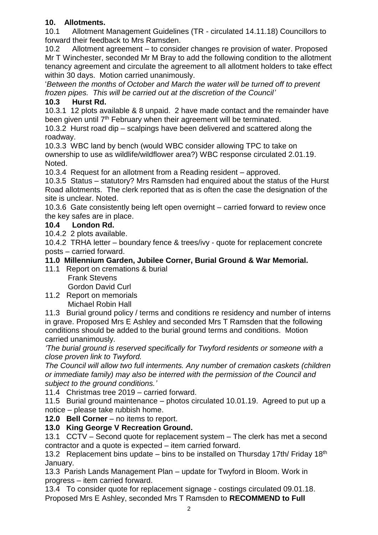# **10. Allotments.**

10.1 Allotment Management Guidelines (TR - circulated 14.11.18) Councillors to forward their feedback to Mrs Ramsden.

10.2 Allotment agreement – to consider changes re provision of water. Proposed Mr T Winchester, seconded Mr M Bray to add the following condition to the allotment tenancy agreement and circulate the agreement to all allotment holders to take effect within 30 days. Motion carried unanimously.

'*Between the months of October and March the water will be turned off to prevent frozen pipes. This will be carried out at the discretion of the Council'*

# **10.3 Hurst Rd.**

10.3.1 12 plots available & 8 unpaid. 2 have made contact and the remainder have been given until 7<sup>th</sup> February when their agreement will be terminated.

10.3.2 Hurst road dip – scalpings have been delivered and scattered along the roadway.

10.3.3 WBC land by bench (would WBC consider allowing TPC to take on ownership to use as wildlife/wildflower area?) WBC response circulated 2.01.19. Noted.

10.3.4 Request for an allotment from a Reading resident – approved.

10.3.5 Status – statutory? Mrs Ramsden had enquired about the status of the Hurst Road allotments. The clerk reported that as is often the case the designation of the site is unclear. Noted.

10.3.6 Gate consistently being left open overnight – carried forward to review once the key safes are in place.

### **10.4 London Rd.**

10.4.2 2 plots available.

10.4.2 TRHA letter – boundary fence & trees/ivy - quote for replacement concrete posts – carried forward.

### **11.0 Millennium Garden, Jubilee Corner, Burial Ground & War Memorial.**

11.1 Report on cremations & burial Frank Stevens

Gordon David Curl

11.2 Report on memorials Michael Robin Hall

11.3 Burial ground policy / terms and conditions re residency and number of interns in grave. Proposed Mrs E Ashley and seconded Mrs T Ramsden that the following conditions should be added to the burial ground terms and conditions. Motion carried unanimously.

*'The burial ground is reserved specifically for Twyford residents or someone with a close proven link to Twyford.*

*The Council will allow two full interments. Any number of cremation caskets (children or immediate family) may also be interred with the permission of the Council and subject to the ground conditions.'*

11.4 Christmas tree 2019 – carried forward.

11.5 Burial ground maintenance – photos circulated 10.01.19. Agreed to put up a notice – please take rubbish home.

**12.0 Bell Corner** – no items to report.

### **13.0 King George V Recreation Ground.**

13.1 CCTV – Second quote for replacement system – The clerk has met a second contractor and a quote is expected – item carried forward.

13.2 Replacement bins update – bins to be installed on Thursday 17th/ Friday 18<sup>th</sup> January.

13.3 Parish Lands Management Plan – update for Twyford in Bloom. Work in progress – item carried forward.

13.4 To consider quote for replacement signage - costings circulated 09.01.18. Proposed Mrs E Ashley, seconded Mrs T Ramsden to **RECOMMEND to Full**